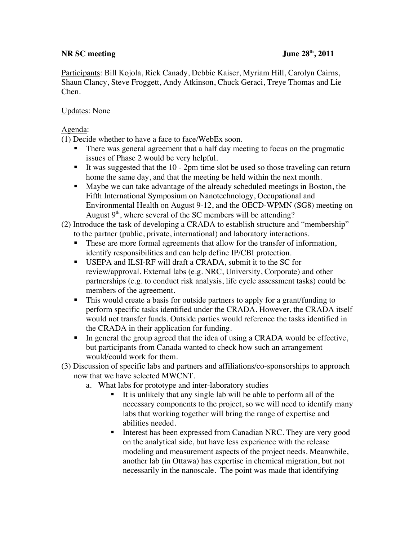## **NR SC meeting June 28<sup>th</sup>, 2011**

Participants: Bill Kojola, Rick Canady, Debbie Kaiser, Myriam Hill, Carolyn Cairns, Shaun Clancy, Steve Froggett, Andy Atkinson, Chuck Geraci, Treye Thomas and Lie Chen.

## Updates: None

Agenda:

(1) Decide whether to have a face to face/WebEx soon.

- There was general agreement that a half day meeting to focus on the pragmatic issues of Phase 2 would be very helpful.
- It was suggested that the  $10 2$ pm time slot be used so those traveling can return home the same day, and that the meeting be held within the next month.
- Maybe we can take advantage of the already scheduled meetings in Boston, the Fifth International Symposium on Nanotechnology, Occupational and Environmental Health on August 9-12, and the OECD-WPMN (SG8) meeting on August  $9<sup>th</sup>$ , where several of the SC members will be attending?
- (2) Introduce the task of developing a CRADA to establish structure and "membership" to the partner (public, private, international) and laboratory interactions.
	- These are more formal agreements that allow for the transfer of information, identify responsibilities and can help define IP/CBI protection.
	- USEPA and ILSI-RF will draft a CRADA, submit it to the SC for review/approval. External labs (e.g. NRC, University, Corporate) and other partnerships (e.g. to conduct risk analysis, life cycle assessment tasks) could be members of the agreement.
	- This would create a basis for outside partners to apply for a grant/funding to perform specific tasks identified under the CRADA. However, the CRADA itself would not transfer funds. Outside parties would reference the tasks identified in the CRADA in their application for funding.
	- In general the group agreed that the idea of using a CRADA would be effective, but participants from Canada wanted to check how such an arrangement would/could work for them.
- (3) Discussion of specific labs and partners and affiliations/co-sponsorships to approach now that we have selected MWCNT.
	- a. What labs for prototype and inter-laboratory studies
		- It is unlikely that any single lab will be able to perform all of the necessary components to the project, so we will need to identify many labs that working together will bring the range of expertise and abilities needed.
		- Interest has been expressed from Canadian NRC. They are very good on the analytical side, but have less experience with the release modeling and measurement aspects of the project needs. Meanwhile, another lab (in Ottawa) has expertise in chemical migration, but not necessarily in the nanoscale. The point was made that identifying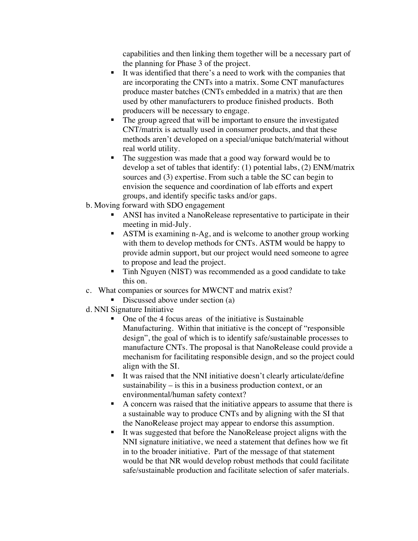capabilities and then linking them together will be a necessary part of the planning for Phase 3 of the project.

- It was identified that there's a need to work with the companies that are incorporating the CNTs into a matrix. Some CNT manufactures produce master batches (CNTs embedded in a matrix) that are then used by other manufacturers to produce finished products. Both producers will be necessary to engage.
- The group agreed that will be important to ensure the investigated CNT/matrix is actually used in consumer products, and that these methods aren't developed on a special/unique batch/material without real world utility.
- The suggestion was made that a good way forward would be to develop a set of tables that identify: (1) potential labs, (2) ENM/matrix sources and (3) expertise. From such a table the SC can begin to envision the sequence and coordination of lab efforts and expert groups, and identify specific tasks and/or gaps.
- b. Moving forward with SDO engagement
	- ANSI has invited a NanoRelease representative to participate in their meeting in mid-July.
	- ASTM is examining n-Ag, and is welcome to another group working with them to develop methods for CNTs. ASTM would be happy to provide admin support, but our project would need someone to agree to propose and lead the project.
	- **Tinh Nguyen (NIST)** was recommended as a good candidate to take this on.
- c. What companies or sources for MWCNT and matrix exist?
	- Discussed above under section  $(a)$
- d. NNI Signature Initiative
	- One of the 4 focus areas of the initiative is Sustainable Manufacturing. Within that initiative is the concept of "responsible design", the goal of which is to identify safe/sustainable processes to manufacture CNTs. The proposal is that NanoRelease could provide a mechanism for facilitating responsible design, and so the project could align with the SI.
	- It was raised that the NNI initiative doesn't clearly articulate/define sustainability – is this in a business production context, or an environmental/human safety context?
	- A concern was raised that the initiative appears to assume that there is a sustainable way to produce CNTs and by aligning with the SI that the NanoRelease project may appear to endorse this assumption.
	- It was suggested that before the NanoRelease project aligns with the NNI signature initiative, we need a statement that defines how we fit in to the broader initiative. Part of the message of that statement would be that NR would develop robust methods that could facilitate safe/sustainable production and facilitate selection of safer materials.